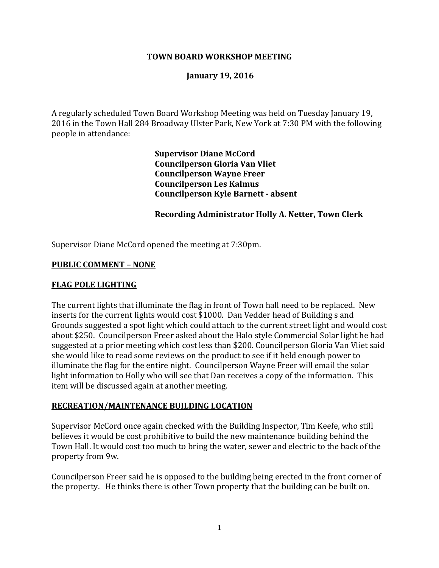#### **TOWN BOARD WORKSHOP MEETING**

#### **January 19, 2016**

A regularly scheduled Town Board Workshop Meeting was held on Tuesday January 19, 2016 in the Town Hall 284 Broadway Ulster Park, New York at 7:30 PM with the following people in attendance:

> **Supervisor Diane McCord Councilperson Gloria Van Vliet Councilperson Wayne Freer Councilperson Les Kalmus Councilperson Kyle Barnett - absent**

#### **Recording Administrator Holly A. Netter, Town Clerk**

Supervisor Diane McCord opened the meeting at 7:30pm.

#### **PUBLIC COMMENT – NONE**

#### **FLAG POLE LIGHTING**

The current lights that illuminate the flag in front of Town hall need to be replaced. New inserts for the current lights would cost \$1000. Dan Vedder head of Building s and Grounds suggested a spot light which could attach to the current street light and would cost about \$250. Councilperson Freer asked about the Halo style Commercial Solar light he had suggested at a prior meeting which cost less than \$200. Councilperson Gloria Van Vliet said she would like to read some reviews on the product to see if it held enough power to illuminate the flag for the entire night. Councilperson Wayne Freer will email the solar light information to Holly who will see that Dan receives a copy of the information. This item will be discussed again at another meeting.

#### **RECREATION/MAINTENANCE BUILDING LOCATION**

Supervisor McCord once again checked with the Building Inspector, Tim Keefe, who still believes it would be cost prohibitive to build the new maintenance building behind the Town Hall. It would cost too much to bring the water, sewer and electric to the back of the property from 9w.

Councilperson Freer said he is opposed to the building being erected in the front corner of the property. He thinks there is other Town property that the building can be built on.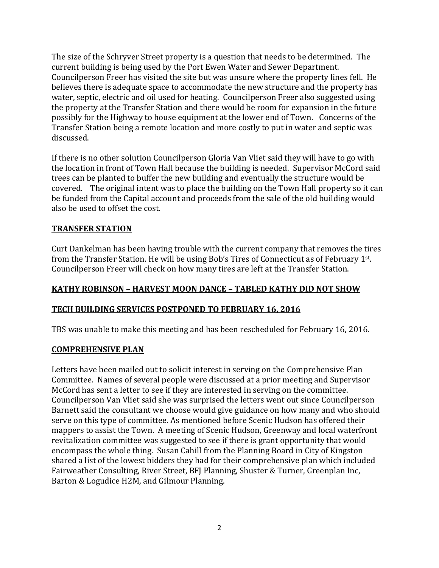The size of the Schryver Street property is a question that needs to be determined. The current building is being used by the Port Ewen Water and Sewer Department. Councilperson Freer has visited the site but was unsure where the property lines fell. He believes there is adequate space to accommodate the new structure and the property has water, septic, electric and oil used for heating. Councilperson Freer also suggested using the property at the Transfer Station and there would be room for expansion in the future possibly for the Highway to house equipment at the lower end of Town. Concerns of the Transfer Station being a remote location and more costly to put in water and septic was discussed.

If there is no other solution Councilperson Gloria Van Vliet said they will have to go with the location in front of Town Hall because the building is needed. Supervisor McCord said trees can be planted to buffer the new building and eventually the structure would be covered. The original intent was to place the building on the Town Hall property so it can be funded from the Capital account and proceeds from the sale of the old building would also be used to offset the cost.

## **TRANSFER STATION**

Curt Dankelman has been having trouble with the current company that removes the tires from the Transfer Station. He will be using Bob's Tires of Connecticut as of February 1st. Councilperson Freer will check on how many tires are left at the Transfer Station.

## **KATHY ROBINSON – HARVEST MOON DANCE – TABLED KATHY DID NOT SHOW**

### **TECH BUILDING SERVICES POSTPONED TO FEBRUARY 16, 2016**

TBS was unable to make this meeting and has been rescheduled for February 16, 2016.

### **COMPREHENSIVE PLAN**

Letters have been mailed out to solicit interest in serving on the Comprehensive Plan Committee. Names of several people were discussed at a prior meeting and Supervisor McCord has sent a letter to see if they are interested in serving on the committee. Councilperson Van Vliet said she was surprised the letters went out since Councilperson Barnett said the consultant we choose would give guidance on how many and who should serve on this type of committee. As mentioned before Scenic Hudson has offered their mappers to assist the Town. A meeting of Scenic Hudson, Greenway and local waterfront revitalization committee was suggested to see if there is grant opportunity that would encompass the whole thing. Susan Cahill from the Planning Board in City of Kingston shared a list of the lowest bidders they had for their comprehensive plan which included Fairweather Consulting, River Street, BFJ Planning, Shuster & Turner, Greenplan Inc, Barton & Logudice H2M, and Gilmour Planning.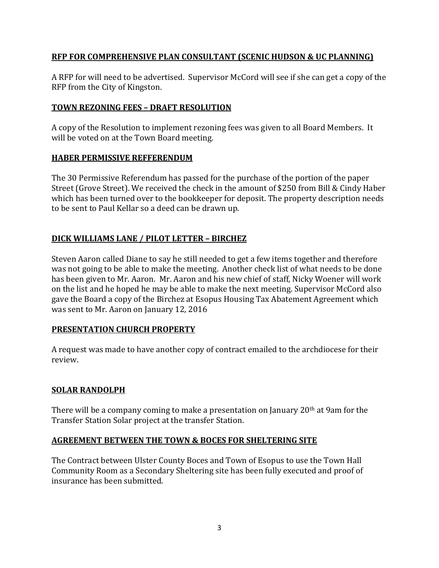## **RFP FOR COMPREHENSIVE PLAN CONSULTANT (SCENIC HUDSON & UC PLANNING)**

A RFP for will need to be advertised. Supervisor McCord will see if she can get a copy of the RFP from the City of Kingston.

## **TOWN REZONING FEES – DRAFT RESOLUTION**

A copy of the Resolution to implement rezoning fees was given to all Board Members. It will be voted on at the Town Board meeting.

## **HABER PERMISSIVE REFFERENDUM**

The 30 Permissive Referendum has passed for the purchase of the portion of the paper Street (Grove Street). We received the check in the amount of \$250 from Bill & Cindy Haber which has been turned over to the bookkeeper for deposit. The property description needs to be sent to Paul Kellar so a deed can be drawn up.

# **DICK WILLIAMS LANE / PILOT LETTER – BIRCHEZ**

Steven Aaron called Diane to say he still needed to get a few items together and therefore was not going to be able to make the meeting. Another check list of what needs to be done has been given to Mr. Aaron. Mr. Aaron and his new chief of staff, Nicky Woener will work on the list and he hoped he may be able to make the next meeting. Supervisor McCord also gave the Board a copy of the Birchez at Esopus Housing Tax Abatement Agreement which was sent to Mr. Aaron on January 12, 2016

# **PRESENTATION CHURCH PROPERTY**

A request was made to have another copy of contract emailed to the archdiocese for their review.

# **SOLAR RANDOLPH**

There will be a company coming to make a presentation on January  $20<sup>th</sup>$  at 9am for the Transfer Station Solar project at the transfer Station.

# **AGREEMENT BETWEEN THE TOWN & BOCES FOR SHELTERING SITE**

The Contract between Ulster County Boces and Town of Esopus to use the Town Hall Community Room as a Secondary Sheltering site has been fully executed and proof of insurance has been submitted.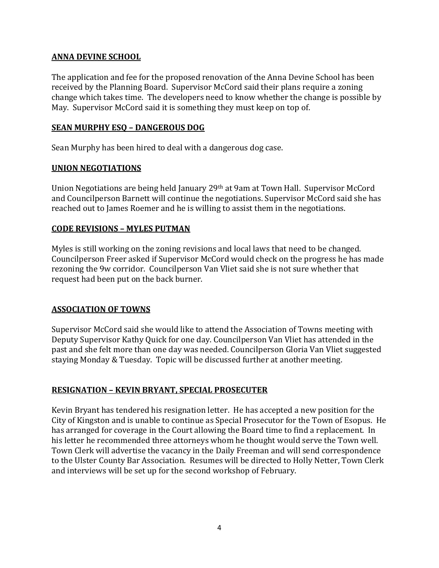## **ANNA DEVINE SCHOOL**

The application and fee for the proposed renovation of the Anna Devine School has been received by the Planning Board. Supervisor McCord said their plans require a zoning change which takes time. The developers need to know whether the change is possible by May. Supervisor McCord said it is something they must keep on top of.

## **SEAN MURPHY ESQ – DANGEROUS DOG**

Sean Murphy has been hired to deal with a dangerous dog case.

## **UNION NEGOTIATIONS**

Union Negotiations are being held January 29th at 9am at Town Hall. Supervisor McCord and Councilperson Barnett will continue the negotiations. Supervisor McCord said she has reached out to James Roemer and he is willing to assist them in the negotiations.

# **CODE REVISIONS – MYLES PUTMAN**

Myles is still working on the zoning revisions and local laws that need to be changed. Councilperson Freer asked if Supervisor McCord would check on the progress he has made rezoning the 9w corridor. Councilperson Van Vliet said she is not sure whether that request had been put on the back burner.

# **ASSOCIATION OF TOWNS**

Supervisor McCord said she would like to attend the Association of Towns meeting with Deputy Supervisor Kathy Quick for one day. Councilperson Van Vliet has attended in the past and she felt more than one day was needed. Councilperson Gloria Van Vliet suggested staying Monday & Tuesday. Topic will be discussed further at another meeting.

# **RESIGNATION – KEVIN BRYANT, SPECIAL PROSECUTER**

Kevin Bryant has tendered his resignation letter. He has accepted a new position for the City of Kingston and is unable to continue as Special Prosecutor for the Town of Esopus. He has arranged for coverage in the Court allowing the Board time to find a replacement. In his letter he recommended three attorneys whom he thought would serve the Town well. Town Clerk will advertise the vacancy in the Daily Freeman and will send correspondence to the Ulster County Bar Association. Resumes will be directed to Holly Netter, Town Clerk and interviews will be set up for the second workshop of February.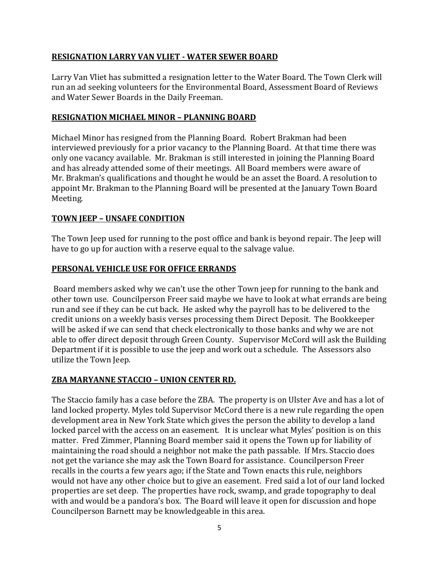## **RESIGNATION LARRY VAN VLIET - WATER SEWER BOARD**

Larry Van Vliet has submitted a resignation letter to the Water Board. The Town Clerk will run an ad seeking volunteers for the Environmental Board, Assessment Board of Reviews and Water Sewer Boards in the Daily Freeman.

#### **RESIGNATION MICHAEL MINOR – PLANNING BOARD**

Michael Minor has resigned from the Planning Board. Robert Brakman had been interviewed previously for a prior vacancy to the Planning Board. At that time there was only one vacancy available. Mr. Brakman is still interested in joining the Planning Board and has already attended some of their meetings. All Board members were aware of Mr. Brakman's qualifications and thought he would be an asset the Board. A resolution to appoint Mr. Brakman to the Planning Board will be presented at the January Town Board Meeting.

### **TOWN JEEP – UNSAFE CONDITION**

The Town Jeep used for running to the post office and bank is beyond repair. The Jeep will have to go up for auction with a reserve equal to the salvage value.

### **PERSONAL VEHICLE USE FOR OFFICE ERRANDS**

Board members asked why we can't use the other Town jeep for running to the bank and other town use. Councilperson Freer said maybe we have to look at what errands are being run and see if they can be cut back. He asked why the payroll has to be delivered to the credit unions on a weekly basis verses processing them Direct Deposit. The Bookkeeper will be asked if we can send that check electronically to those banks and why we are not able to offer direct deposit through Green County. Supervisor McCord will ask the Building Department if it is possible to use the jeep and work out a schedule. The Assessors also utilize the Town Jeep.

### **ZBA MARYANNE STACCIO – UNION CENTER RD.**

The Staccio family has a case before the ZBA. The property is on Ulster Ave and has a lot of land locked property. Myles told Supervisor McCord there is a new rule regarding the open development area in New York State which gives the person the ability to develop a land locked parcel with the access on an easement. It is unclear what Myles' position is on this matter. Fred Zimmer, Planning Board member said it opens the Town up for liability of maintaining the road should a neighbor not make the path passable. If Mrs. Staccio does not get the variance she may ask the Town Board for assistance. Councilperson Freer recalls in the courts a few years ago; if the State and Town enacts this rule, neighbors would not have any other choice but to give an easement. Fred said a lot of our land locked properties are set deep. The properties have rock, swamp, and grade topography to deal with and would be a pandora's box. The Board will leave it open for discussion and hope Councilperson Barnett may be knowledgeable in this area.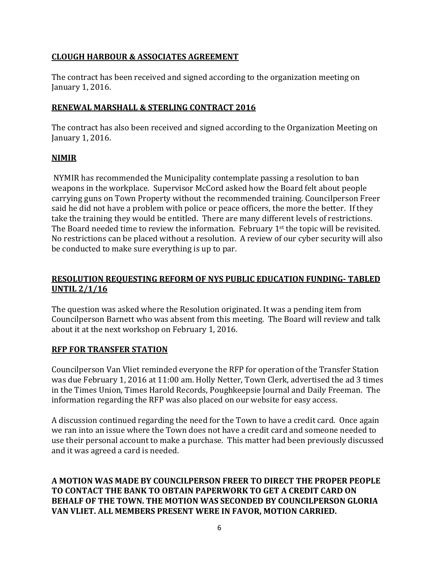## **CLOUGH HARBOUR & ASSOCIATES AGREEMENT**

The contract has been received and signed according to the organization meeting on January 1, 2016.

# **RENEWAL MARSHALL & STERLING CONTRACT 2016**

The contract has also been received and signed according to the Organization Meeting on January 1, 2016.

# **NIMIR**

NYMIR has recommended the Municipality contemplate passing a resolution to ban weapons in the workplace. Supervisor McCord asked how the Board felt about people carrying guns on Town Property without the recommended training. Councilperson Freer said he did not have a problem with police or peace officers, the more the better. If they take the training they would be entitled. There are many different levels of restrictions. The Board needed time to review the information. February 1<sup>st</sup> the topic will be revisited. No restrictions can be placed without a resolution. A review of our cyber security will also be conducted to make sure everything is up to par.

# **RESOLUTION REQUESTING REFORM OF NYS PUBLIC EDUCATION FUNDING- TABLED UNTIL 2/1/16**

The question was asked where the Resolution originated. It was a pending item from Councilperson Barnett who was absent from this meeting. The Board will review and talk about it at the next workshop on February 1, 2016.

### **RFP FOR TRANSFER STATION**

Councilperson Van Vliet reminded everyone the RFP for operation of the Transfer Station was due February 1, 2016 at 11:00 am. Holly Netter, Town Clerk, advertised the ad 3 times in the Times Union, Times Harold Records, Poughkeepsie Journal and Daily Freeman. The information regarding the RFP was also placed on our website for easy access.

A discussion continued regarding the need for the Town to have a credit card. Once again we ran into an issue where the Town does not have a credit card and someone needed to use their personal account to make a purchase. This matter had been previously discussed and it was agreed a card is needed.

**A MOTION WAS MADE BY COUNCILPERSON FREER TO DIRECT THE PROPER PEOPLE TO CONTACT THE BANK TO OBTAIN PAPERWORK TO GET A CREDIT CARD ON BEHALF OF THE TOWN. THE MOTION WAS SECONDED BY COUNCILPERSON GLORIA VAN VLIET. ALL MEMBERS PRESENT WERE IN FAVOR, MOTION CARRIED.**